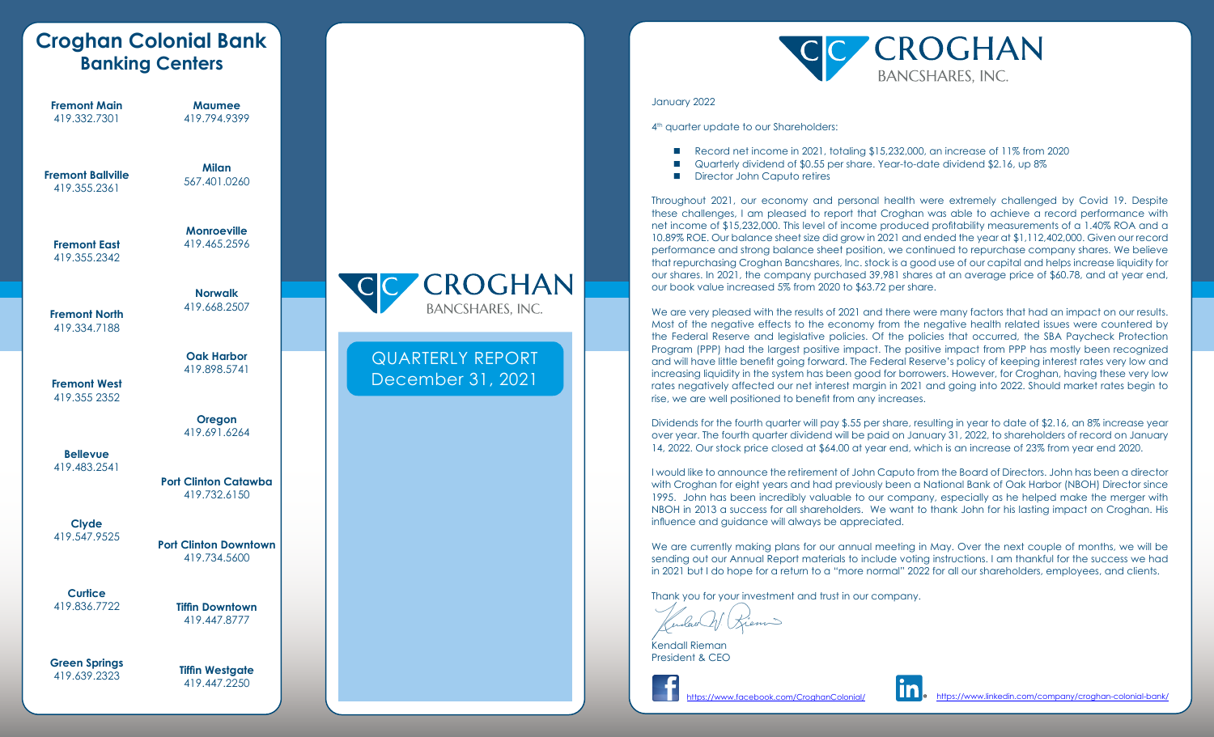|                                          | <b>Croghan Colonial Bank</b><br><b>Banking Centers</b> |  |                                              |
|------------------------------------------|--------------------------------------------------------|--|----------------------------------------------|
| <b>Fremont Main</b><br>419.332.7301      | <b>Maumee</b><br>419.794.9399                          |  |                                              |
| <b>Fremont Ballville</b><br>419.355.2361 | <b>Milan</b><br>567.401.0260                           |  |                                              |
| <b>Fremont East</b><br>419.355.2342      | <b>Monroeville</b><br>419.465.2596                     |  |                                              |
| <b>Fremont North</b><br>419.334.7188     | <b>Norwalk</b><br>419.668.2507                         |  | <b>CROGHAN</b><br><b>BANCSHARES, INC.</b>    |
| <b>Fremont West</b><br>419.355 2352      | <b>Oak Harbor</b><br>419.898.5741                      |  | <b>QUARTERLY REPORT</b><br>December 31, 2021 |
|                                          | Oregon<br>419.691.6264                                 |  |                                              |
| <b>Bellevue</b><br>419.483.2541          | <b>Port Clinton Catawba</b><br>419.732.6150            |  |                                              |
| <b>Clyde</b><br>419.547.9525             | <b>Port Clinton Downtown</b><br>419.734.5600           |  |                                              |
| <b>Curtice</b><br>419.836.7722           | <b>Tiffin Downtown</b><br>419.447.8777                 |  |                                              |
| <b>Green Springs</b><br>419.639.2323     | <b>Tiffin Westgate</b><br>419.447.2250                 |  |                                              |



#### January 2022

4<sup>th</sup> quarter update to our Shareholders:

- Record net income in 2021, totaling \$15,232,000, an increase of 11% from 2020
- Quarterly dividend of \$0.55 per share. Year-to-date dividend \$2.16, up 8%
- Director John Caputo retires

Throughout 2021, our economy and personal health were extremely challenged by Covid 19. Despite these challenges, I am pleased to report that Croghan was able to achieve a record performance with net income of \$15,232,000. This level of income produced profitability measurements of a 1.40% ROA and a 10.89% ROE. Our balance sheet size did grow in 2021 and ended the year at \$1,112,402,000. Given our record performance and strong balance sheet position, we continued to repurchase company shares. We believe that repurchasing Croghan Bancshares, Inc. stock is a good use of our capital and helps increase liquidity for our shares. In 2021, the company purchased 39,981 shares at an average price of \$60.78, and at year end, our book value increased 5% from 2020 to \$63.72 per share.

We are very pleased with the results of 2021 and there were many factors that had an impact on our results. Most of the negative effects to the economy from the negative health related issues were countered by the Federal Reserve and legislative policies. Of the policies that occurred, the SBA Paycheck Protection Program (PPP) had the largest positive impact. The positive impact from PPP has mostly been recognized and will have little benefit going forward. The Federal Reserve's policy of keeping interest rates very low and increasing liquidity in the system has been good for borrowers. However, for Croghan, having these very low rates negatively affected our net interest margin in 2021 and going into 2022. Should market rates begin to rise, we are well positioned to benefit from any increases.

Dividends for the fourth quarter will pay \$.55 per share, resulting in year to date of \$2.16, an 8% increase year over year. The fourth quarter dividend will be paid on January 31, 2022, to shareholders of record on January 14, 2022. Our stock price closed at \$64.00 at year end, which is an increase of 23% from year end 2020.

I would like to announce the retirement of John Caputo from the Board of Directors. John has been a director with Croghan for eight years and had previously been a National Bank of Oak Harbor (NBOH) Director since 1995. John has been incredibly valuable to our company, especially as he helped make the merger with NBOH in 2013 a success for all shareholders. We want to thank John for his lasting impact on Croghan. His influence and guidance will always be appreciated.

We are currently making plans for our annual meeting in May. Over the next couple of months, we will be sending out our Annual Report materials to include voting instructions. I am thankful for the success we had in 2021 but I do hope for a return to a "more normal" 2022 for all our shareholders, employees, and clients.

Thank you for your investment and trust in our company.

'n dorë

Kendall Rieman President & CEO